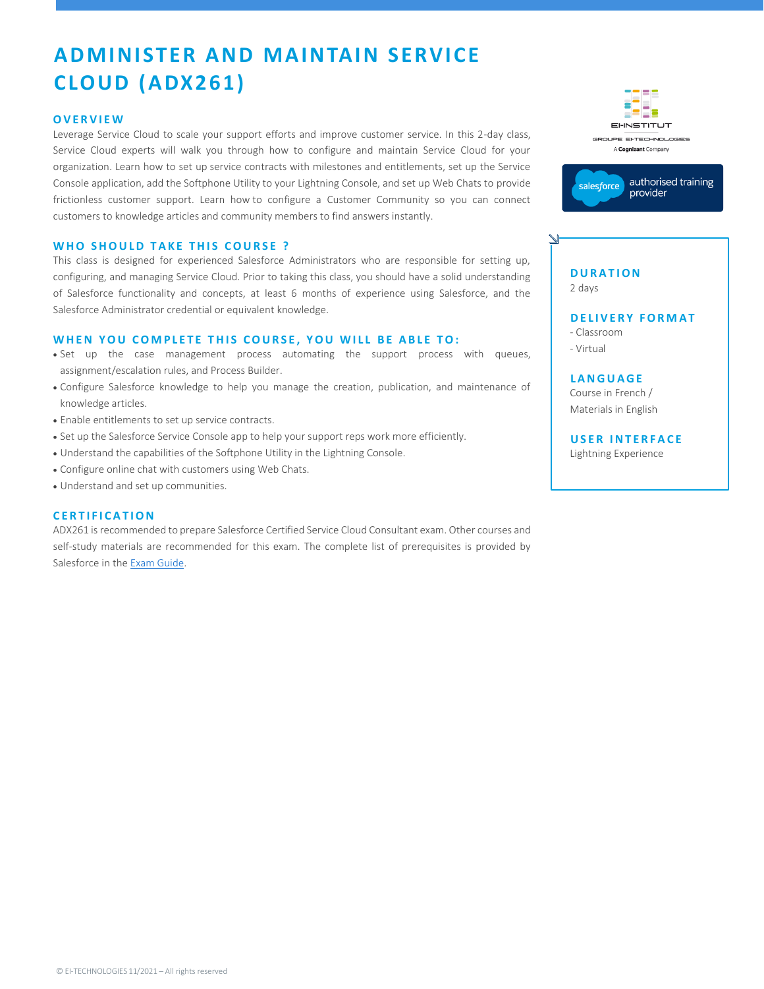# **A D MINISTER A ND MA IN TAIN S ERVICE CLOUD ( A DX261)**

### **O V E R V I E W**

Leverage Service Cloud to scale your support efforts and improve customer service. In this 2-day class, Service Cloud experts will walk you through how to configure and maintain Service Cloud for your organization. Learn how to set up service contracts with milestones and entitlements, set up the Service Console application, add the Softphone Utility to your Lightning Console, and set up Web Chats to provide frictionless customer support. Learn how to configure a Customer Community so you can connect customers to knowledge articles and community members to find answers instantly.

### **WHO SHOULD TAKE THIS COURSE ?**

This class is designed for experienced Salesforce Administrators who are responsible for setting up, configuring, and managing Service Cloud. Prior to taking this class, you should have a solid understanding of Salesforce functionality and concepts, at least 6 months of experience using Salesforce, and the Salesforce Administrator credential or equivalent knowledge.

### **WHEN YOU COMPLETE THIS COURSE, YOU WILL BE ABLE TO:**

- Set up the case management process automating the support process with queues, assignment/escalation rules, and Process Builder.
- Configure Salesforce knowledge to help you manage the creation, publication, and maintenance of knowledge articles.
- Enable entitlements to set up service contracts.
- Set up the Salesforce Service Console app to help your support reps work more efficiently.
- Understand the capabilities of the Softphone Utility in the Lightning Console.
- Configure online chat with customers using Web Chats.
- Understand and set up communities.

## **C E R T I F I C A T I O N**

ADX261 is recommended to prepare Salesforce Certified Service Cloud Consultant exam. Other courses and self-study materials are recommended for this exam. The complete list of prerequisites is provided by Salesforce in th[e Exam Guide.](https://trailhead.salesforce.com/en/help?article=Salesforce-Certified-Service-Cloud-Consultant-Exam-Guide)





# **D U R A T I O N** 2 days

**DELIVERY FORMAT** - Classroom

- Virtual

**L A N G UA G E** Course in French / Materials in English

**USER INTERFACE** Lightning Experience